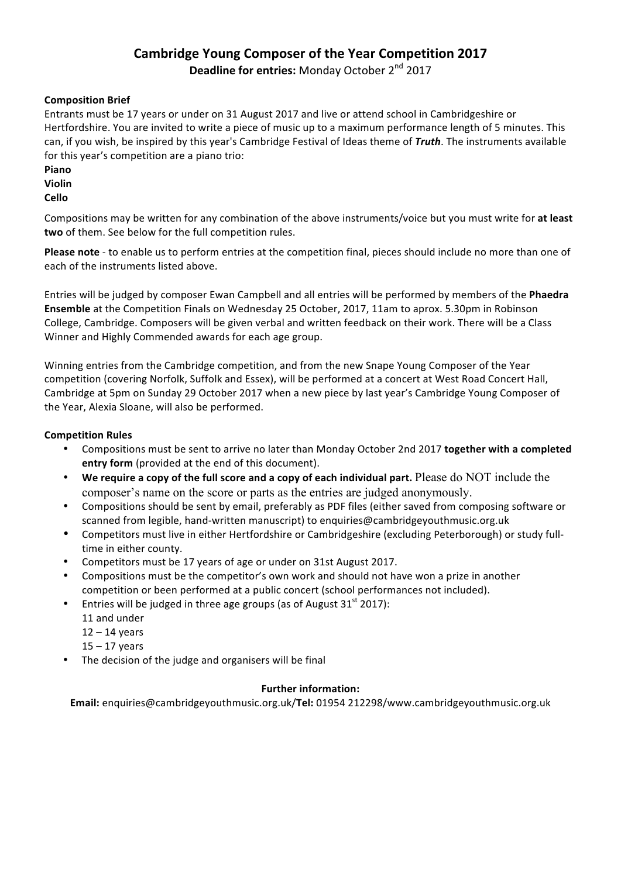# **Cambridge Young Composer of the Year Competition 2017**

**Deadline for entries:** Monday October 2<sup>nd</sup> 2017

# **Composition Brief**

Entrants must be 17 years or under on 31 August 2017 and live or attend school in Cambridgeshire or Hertfordshire. You are invited to write a piece of music up to a maximum performance length of 5 minutes. This can, if you wish, be inspired by this year's Cambridge Festival of Ideas theme of *Truth*. The instruments available for this year's competition are a piano trio:

- **Piano Violin**
- **Cello**

Compositions may be written for any combination of the above instruments/voice but you must write for at least two of them. See below for the full competition rules.

**Please note** - to enable us to perform entries at the competition final, pieces should include no more than one of each of the instruments listed above.

Entries will be judged by composer Ewan Campbell and all entries will be performed by members of the **Phaedra Ensemble** at the Competition Finals on Wednesday 25 October, 2017, 11am to aprox. 5.30pm in Robinson College, Cambridge. Composers will be given verbal and written feedback on their work. There will be a Class Winner and Highly Commended awards for each age group.

Winning entries from the Cambridge competition, and from the new Snape Young Composer of the Year competition (covering Norfolk, Suffolk and Essex), will be performed at a concert at West Road Concert Hall, Cambridge at 5pm on Sunday 29 October 2017 when a new piece by last year's Cambridge Young Composer of the Year, Alexia Sloane, will also be performed.

## **Competition Rules**

- Compositions must be sent to arrive no later than Monday October 2nd 2017 **together with a completed entry form** (provided at the end of this document).
- We require a copy of the full score and a copy of each individual part. Please do NOT include the composer's name on the score or parts as the entries are judged anonymously.
- Compositions should be sent by email, preferably as PDF files (either saved from composing software or scanned from legible, hand-written manuscript) to enquiries@cambridgeyouthmusic.org.uk
- Competitors must live in either Hertfordshire or Cambridgeshire (excluding Peterborough) or study fulltime in either county.
- Competitors must be 17 years of age or under on 31st August 2017.
- Compositions must be the competitor's own work and should not have won a prize in another competition or been performed at a public concert (school performances not included).
- Entries will be judged in three age groups (as of August  $31<sup>st</sup> 2017$ ):
	- 11 and under
	- $12 14$  years
	- $15 17$  years
- The decision of the judge and organisers will be final

#### **Further information:**

**Email:** enquiries@cambridgeyouthmusic.org.uk/**Tel:** 01954 212298/www.cambridgeyouthmusic.org.uk